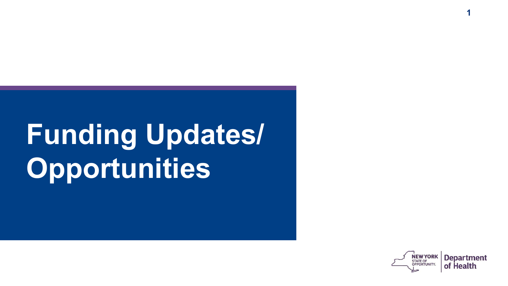# **Funding Updates/ Opportunities**



**1**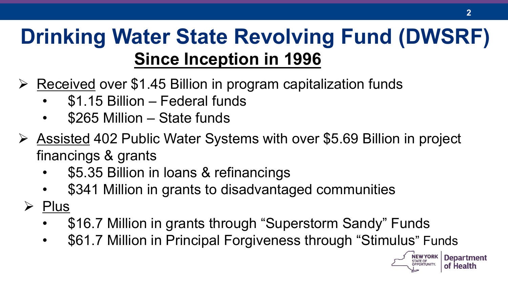### **Since Inception in 1996 Drinking Water State Revolving Fund (DWSRF)**

- $\triangleright$  Received over \$1.45 Billion in program capitalization funds
	- \$1.15 Billion Federal funds
	- \$265 Million State funds
- Ø Assisted 402 Public Water Systems with over \$5.69 Billion in project financings & grants
	- \$5.35 Billion in loans & refinancings
	- \$341 Million in grants to disadvantaged communities
	- $\triangleright$  Plus
		- \$16.7 Million in grants through "Superstorm Sandy" Funds
		- \$61.7 Million in Principal Forgiveness through "Stimulus" Funds

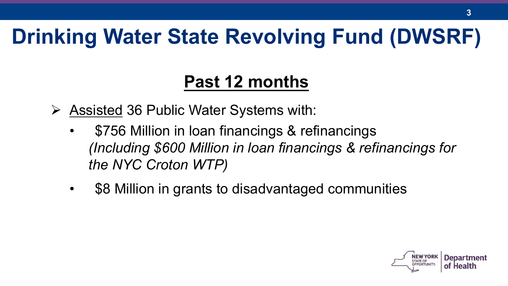### **Drinking Water State Revolving Fund (DWSRF)**

#### **Past 12 months**

- $\triangleright$  Assisted 36 Public Water Systems with:
	- \$756 Million in loan financings & refinancings *(Including \$600 Million in loan financings & refinancings for the NYC Croton WTP)*
	- \$8 Million in grants to disadvantaged communities

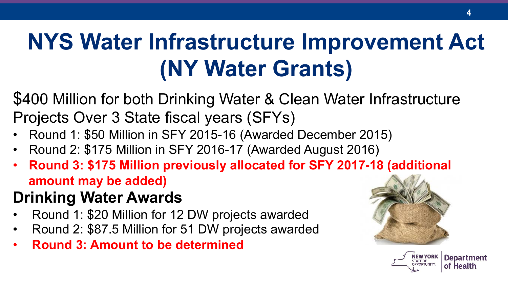## **NYS Water Infrastructure Improvement Act (NY Water Grants)**

\$400 Million for both Drinking Water & Clean Water Infrastructure Projects Over 3 State fiscal years (SFYs)

- Round 1: \$50 Million in SFY 2015-16 (Awarded December 2015)
- Round 2: \$175 Million in SFY 2016-17 (Awarded August 2016)
- **Round 3: \$175 Million previously allocated for SFY 2017-18 (additional amount may be added)**

#### **Drinking Water Awards**

- Round 1: \$20 Million for 12 DW projects awarded
- Round 2: \$87.5 Million for 51 DW projects awarded
- **Round 3: Amount to be determined**